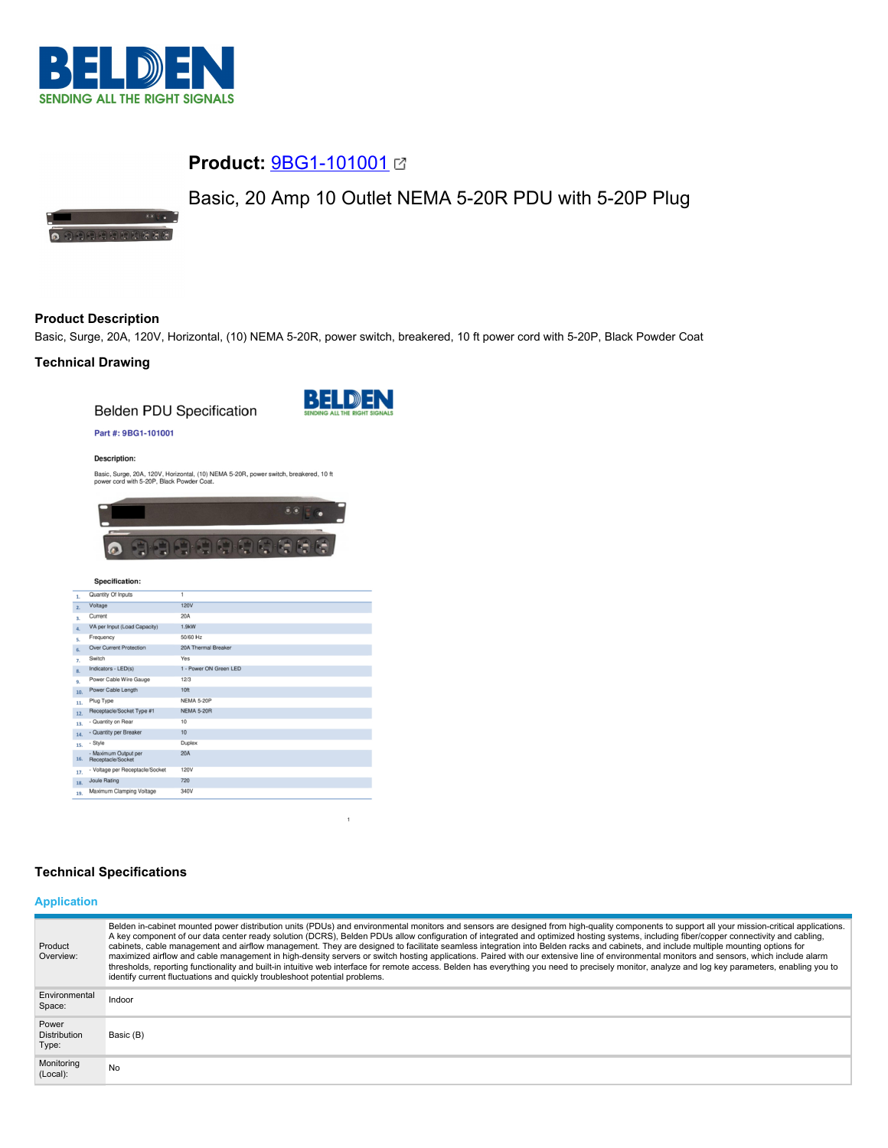

3350

# **Product:** [9BG1-101001](https://catalog.belden.com/index.cfm?event=pd&p=PF_9BG1101001&tab=downloads)

# Basic, 20 Amp 10 Outlet NEMA 5-20R PDU with 5-20P Plug

**O** CHRISTIAN CRACK

# **Product Description**

Basic, Surge, 20A, 120V, Horizontal, (10) NEMA 5-20R, power switch, breakered, 10 ft power cord with 5-20P, Black Powder Coat

## **Technical Drawing**

**Belden PDU Specification** 



## Part #: 9BG1-101001

**Description:** 

Basic, Surge, 20A, 120V, Horizontal, (10) NEMA 5-20R, power switch, breakered, 10 ft power cord with 5-20P, Black Powder Coat.



#### Specification:

| 1.             | Quantity Of Inputs                        | 1                      |
|----------------|-------------------------------------------|------------------------|
| $\overline{2}$ | Voltage                                   | <b>120V</b>            |
| 3.             | Current                                   | 20A                    |
| 4.             | VA per Input (Load Capacity)              | 1.9kW                  |
| s.             | Frequency                                 | 50/60 Hz               |
| 6.             | <b>Over Current Protection</b>            | 20A Thermal Breaker    |
| 7.             | Switch                                    | Yes                    |
| 8.             | Indicators - LED(s)                       | 1 - Power ON Green LED |
| 9.             | Power Cable Wire Gauge                    | 12/3                   |
| 10.            | Power Cable Length                        | 10 <sub>ft</sub>       |
| 11.            | Plug Type                                 | <b>NEMA 5-20P</b>      |
| 12.            | Receptacle/Socket Type #1                 | <b>NEMA 5-20R</b>      |
| 13.            | - Quantity on Rear                        | 10                     |
| 14.            | - Quantity per Breaker                    | 10                     |
| 15.            | - Style                                   | Duplex                 |
| 16.            | - Maximum Output per<br>Receptacle/Socket | 20A                    |
| 17.            | - Voltage per Receptacle/Socket           | 120V                   |
| 18.            | Joule Rating                              | 720                    |
| 19.            | Maximum Clamping Voltage                  | 340V                   |

## **Technical Specifications**

# **Application**

| Product<br>Overview:                  | Belden in-cabinet mounted power distribution units (PDUs) and environmental monitors and sensors are designed from high-quality components to support all your mission-critical applications.<br>A key component of our data center ready solution (DCRS), Belden PDUs allow configuration of integrated and optimized hosting systems, including fiber/copper connectivity and cabling,<br>cabinets, cable management and airflow management. They are designed to facilitate seamless integration into Belden racks and cabinets, and include multiple mounting options for<br>maximized airflow and cable management in high-density servers or switch hosting applications. Paired with our extensive line of environmental monitors and sensors, which include alarm<br>thresholds, reporting functionality and built-in intuitive web interface for remote access. Belden has everything you need to precisely monitor, analyze and log key parameters, enabling you to<br>identify current fluctuations and quickly troubleshoot potential problems. |
|---------------------------------------|-------------------------------------------------------------------------------------------------------------------------------------------------------------------------------------------------------------------------------------------------------------------------------------------------------------------------------------------------------------------------------------------------------------------------------------------------------------------------------------------------------------------------------------------------------------------------------------------------------------------------------------------------------------------------------------------------------------------------------------------------------------------------------------------------------------------------------------------------------------------------------------------------------------------------------------------------------------------------------------------------------------------------------------------------------------|
| Environmental<br>Space:               | Indoor                                                                                                                                                                                                                                                                                                                                                                                                                                                                                                                                                                                                                                                                                                                                                                                                                                                                                                                                                                                                                                                      |
| Power<br><b>Distribution</b><br>Type: | Basic (B)                                                                                                                                                                                                                                                                                                                                                                                                                                                                                                                                                                                                                                                                                                                                                                                                                                                                                                                                                                                                                                                   |
| Monitoring<br>(Local):                | No                                                                                                                                                                                                                                                                                                                                                                                                                                                                                                                                                                                                                                                                                                                                                                                                                                                                                                                                                                                                                                                          |